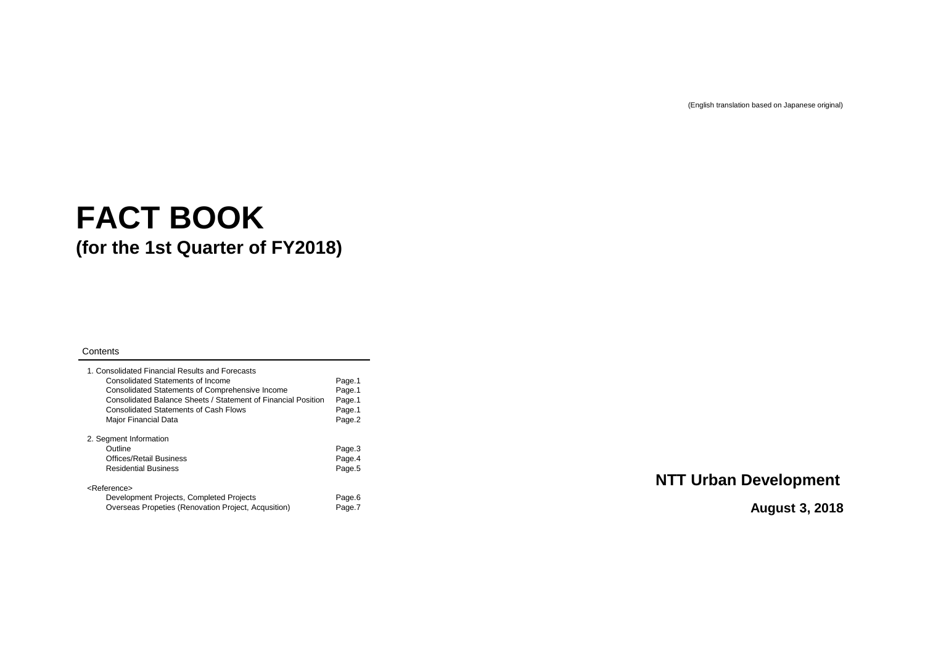# **FACT BOOK (for the 1st Quarter of FY2018)**

### **Contents**

| 1. Consolidated Financial Results and Forecasts<br><b>Consolidated Statements of Income</b><br><b>Consolidated Statements of Comprehensive Income</b><br>Consolidated Balance Sheets / Statement of Financial Position<br><b>Consolidated Statements of Cash Flows</b><br><b>Major Financial Data</b> | Page.1<br>Page.1<br>Page.1<br>Page.1<br>Page.2 |
|-------------------------------------------------------------------------------------------------------------------------------------------------------------------------------------------------------------------------------------------------------------------------------------------------------|------------------------------------------------|
| 2. Segment Information                                                                                                                                                                                                                                                                                |                                                |
| Outline                                                                                                                                                                                                                                                                                               | Page.3                                         |
| <b>Offices/Retail Business</b>                                                                                                                                                                                                                                                                        | Page.4                                         |
| <b>Residential Business</b>                                                                                                                                                                                                                                                                           | Page.5                                         |
| <reference></reference>                                                                                                                                                                                                                                                                               |                                                |
| Development Projects, Completed Projects                                                                                                                                                                                                                                                              | Page.6                                         |
| Overseas Propeties (Renovation Project, Acqusition)                                                                                                                                                                                                                                                   | Page.7                                         |

(English translation based on Japanese original)

### **NTT Urban Development**

### **August 3, 2018**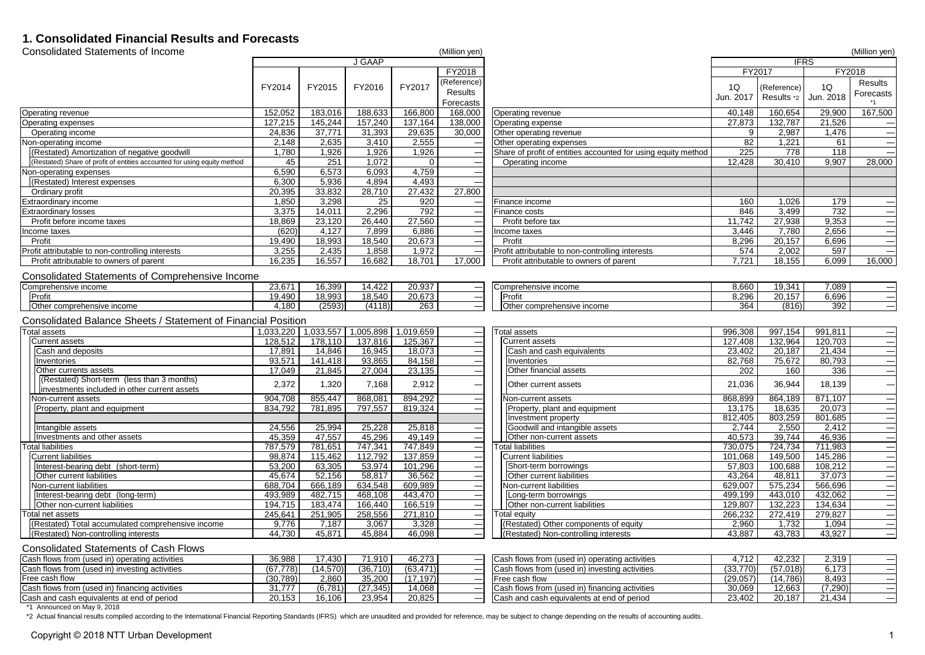### **1. Consolidated Financial Results and Forecasts**

| <b>Consolidated Statements of Income</b>                                                   |               |               |               |                       | (Million yen)            |                                                               |               |             |             | (Million yen)                             |
|--------------------------------------------------------------------------------------------|---------------|---------------|---------------|-----------------------|--------------------------|---------------------------------------------------------------|---------------|-------------|-------------|-------------------------------------------|
|                                                                                            |               |               | <b>J GAAP</b> |                       |                          |                                                               |               |             | <b>IFRS</b> |                                           |
|                                                                                            |               |               |               |                       | <b>FY2018</b>            |                                                               | <b>FY2017</b> |             |             | <b>FY2018</b>                             |
|                                                                                            | <b>FY2014</b> | <b>FY2015</b> | <b>FY2016</b> | <b>FY2017</b>         | (Reference)              |                                                               | 1Q            | (Reference) | 1Q          | <b>Results</b>                            |
|                                                                                            |               |               |               |                       | Results                  |                                                               | Jun. 2017     | Results *2  | Jun. 2018   | Forecasts                                 |
|                                                                                            |               |               |               |                       | Forecasts'               |                                                               |               |             |             |                                           |
| Operating revenue                                                                          | 152,052       | 183,016       | 188,633       | 166,800               | 168,000                  | <b>Operating revenue</b>                                      | 40,148        | 160,654     | 29,900      | 167,500                                   |
| Operating expenses                                                                         | 127,215       | 145,244       | 157,240       | 137,164               | 138,000                  | Operating expense                                             | 27,873        | 132,787     | 21,526      | $\qquad \qquad$                           |
| Operating income                                                                           | 24,836        | 37,771        | 31,393        | 29,635                | 30,000                   | <b>Other operating revenue</b>                                |               | 2,987       | 1,476       | $\qquad \qquad$                           |
| Non-operating income                                                                       | 2,148         | 2,635         | 3,410         | 2,555                 |                          | Other operating expenses                                      | 82            | 1,221       | 61          | $\qquad \qquad$                           |
| (Restated) Amortization of negative goodwill                                               | 1,780         | 1,926         | 1,926         | 1,926                 |                          | Share of profit of entities accounted for using equity method | 225           | 778         | 118         | $\qquad \qquad$                           |
| (Restated) Share of profit of entities accounted for using equity method                   | 45            | 251           | 1,072         | $\overline{0}$        | ___                      | <b>Operating income</b>                                       | 12,428        | 30,410      | 9,907       | 28,000                                    |
| Non-operating expenses                                                                     | 6,590         | 6,573         | 6,093         | 4,759                 | ——                       |                                                               |               |             |             |                                           |
| (Restated) Interest expenses                                                               | 6,300         | 5,936         | 4,894         | 4,493                 | ——                       |                                                               |               |             |             |                                           |
| Ordinary profit                                                                            | 20,395        | 33,832        | 28,710        | 27,432                | 27,800                   |                                                               |               |             |             |                                           |
| <b>Extraordinary income</b>                                                                | 1,850         | 3,298         | 25            | 920                   | ___                      | Finance income                                                | 160           | 1,026       | 179         | $\qquad \qquad$                           |
| <b>Extraordinary losses</b>                                                                | 3,375         | 14,011        | 2,296         | 792                   | ___                      | Finance costs                                                 | 846           | 3,499       | 732         | $\hspace{0.1mm}-\hspace{0.1mm}$           |
| Profit before income taxes                                                                 | 18,869        | 23,120        | 26,440        | 27,560                | ___                      | Profit before tax                                             | 1,742         | 27,938      | 9,353       | $\qquad \qquad$                           |
| Income taxes                                                                               | (620)         | 4,127         | 7,899         | 6,886                 | ——                       | Income taxes                                                  | 3,446         | 7,780       | 2,656       | $\qquad \qquad$                           |
| Profit                                                                                     | 19,490        | 18,993        | 18,540        | 20,673                | ——                       | Profit                                                        | 8,296         | 20,157      | 6,696       | $\qquad \qquad$                           |
| Profit attributable to non-controlling interests                                           | 3,255         | 2,435         | 1,858         | 1,972                 | ___                      | Profit attributable to non-controlling interests              | 574           | 2,002       | 597         | $\qquad \qquad = \qquad$                  |
| Profit attributable to owners of parent                                                    | 16,235        | 16,557        | 16,682        | 18,701                | 17,000                   | Profit attributable to owners of parent                       | 7,721         | 18,155      | 6,099       | 16,000                                    |
| <b>Consolidated Statements of Comprehensive Income</b>                                     |               |               |               |                       |                          |                                                               |               |             |             |                                           |
| Comprehensive income                                                                       | 23,671        | 16,399        | 14,422        | 20,937                |                          | Comprehensive income                                          | 8,660         | 19,341      | 7,089       | $\qquad \qquad = \qquad$                  |
| Profit                                                                                     | 19,490        | 18,993        | 18,540        | 20,673                |                          | Profit                                                        | 8,296         | 20,157      | 6,696       | $\qquad \qquad$                           |
| Other comprehensive income                                                                 | 4,180         | (2593)        | (4118)        | 263                   | $\overline{\phantom{0}}$ | Other comprehensive income                                    | 364           | (816)       | 392         | $\qquad \qquad$                           |
| <b>Consolidated Balance Sheets / Statement of Financial Position</b>                       |               |               |               |                       |                          |                                                               |               |             |             |                                           |
| <b>Total assets</b>                                                                        | 1,033,220     | ,033,557      |               | 1,005,898   1,019,659 | $\overline{\phantom{a}}$ | Total assets                                                  | 996,308       | 997,154     | 991,811     | $\overline{\phantom{0}}$                  |
| <b>Current assets</b>                                                                      | 128,512       | 178,110       | 137,816       | 125,367               |                          | Current assets                                                | 127,408       | 132,964     | 120,703     | $\qquad \qquad$                           |
| <b>Cash and deposits</b>                                                                   | 17,891        | 14,846        | 16,945        | 18,073                |                          | <b>Cash and cash equivalents</b>                              | 23,402        | 20,187      | 21,434      | $\qquad \qquad \overline{\qquad \qquad }$ |
| Inventories                                                                                | 93,571        | 141,418       | 93,865        | 84,158                | ——                       | Inventories                                                   | 82,768        | 75,672      | 80,793      | $\qquad \qquad$                           |
| Other currents assets                                                                      | 17,049        | 21,845        | 27,004        | 23,135                |                          | Other financial assets                                        | 202           | 160         | 336         | $\qquad \qquad$                           |
| (Restated) Short-term (less than 3 months)<br>investments included in other current assets | 2,372         | 1,320         | 7,168         | 2,912                 | $\overline{\phantom{a}}$ | <b>Other current assets</b>                                   | 21,036        | 36,944      | 18,139      |                                           |
| Non-current assets                                                                         | 904,708       | 855,447       | 868,081       | 894,292               |                          | Non-current assets                                            | 868,899       | 864,189     | 871,107     | $\longrightarrow$                         |
| Property, plant and equipment                                                              | 834,792       | 781,895       | 797,557       | 819,324               | $\sim$                   | <b>Property, plant and equipment</b>                          | 13,175        | 18,635      | 20,073      | $\qquad \qquad$                           |
|                                                                                            |               |               |               |                       |                          | Investment property                                           | 812,405       | 803,259     | 801,685     | $\qquad \qquad$                           |
| Intangible assets                                                                          | 24,556        | 25,994        | 25,228        | 25,818                |                          | Goodwill and intangible assets                                | 2,744         | 2,550       | 2,412       | $\qquad \qquad$                           |
| Investments and other assets                                                               | 45,359        | 47,557        | 45,296        | 49,149                |                          | Other non-current assets                                      | 40,573        | 39,744      | 46,936      | $\qquad \qquad$                           |
| <b>Total liabilities</b>                                                                   | 787,579       | 781,651       | 747,341       | 747,849               |                          | Total liabilities                                             | 730,075       | 724,734     | 711,983     | $\qquad \qquad$                           |
| Current liabilities                                                                        | 98,874        | 115,462       | 112,792       | 137,859               |                          | Current liabilities                                           | 101,068       | 149,500     | 145,286     | $\qquad \qquad$                           |
| Interest-bearing debt (short-term)                                                         | 53,200        | 63,305        | 53,974        | 101,296               | ___                      | Short-term borrowings                                         | 57,803        | 100,688     | 108,212     | $\qquad \qquad$                           |
| Other current liabilities                                                                  | 45,674        | 52,156        | 58,817        | 36,562                |                          | Other current liabilities                                     | 43,264        | 48,811      | 37,073      | $\qquad \qquad$                           |
| Non-current liabilities                                                                    | 688,704       | 666,189       | 634,548       | 609,989               |                          | Non-current liabilities                                       | 629,007       | 575,234     | 566,696     | $\qquad \qquad$                           |
| Interest-bearing debt (long-term)                                                          | 493,989       | 482,715       | 468,108       | 443,470               |                          | Long-term borrowings                                          | 499,199       | 443,010     | 432,062     | $\qquad \qquad$                           |
| Other non-current liabilities                                                              | 194,715       | 183,474       | 166,440       | 166,519               | __                       | <b>Other non-current liabilities</b>                          | 129,807       | 132,223     | 134,634     | $\qquad \qquad$                           |
| Total net assets                                                                           | 245,641       | 251,905       | 258,556       | 271,810               |                          | <b>Total equity</b>                                           | 266,232       | 272,419     | 279,827     | $\qquad \qquad$                           |
| (Restated) Total accumulated comprehensive income                                          | 9,776         | 7,187         | 3,067         | 3,328                 |                          | (Restated) Other components of equity                         | 2,960         | 1,732       | 1,094       | $\overline{\phantom{0}}$                  |
| (Restated) Non-controlling interests                                                       | 44,730        | 45,871        | 45,884        | 46,098                |                          | (Restated) Non-controlling interests                          | 43,887        | 43,783      | 43,927      | $\overline{\phantom{0}}$                  |
| <b>Consolidated Statements of Cash Flows</b>                                               |               |               |               |                       |                          |                                                               |               |             |             |                                           |

# Free cash flow<br>
Cash flows from (used in) financing activities (30,789) 2,860 35,200<br>
Cash and cash equivalents at end of period (20,153 (16,106 23,954 Cash and cash equivalents at end of period

| Cash flows from (used in) operating activities | 36,988    | 7,430    | $71,910$  | 46,273    | <b>Cash flows from (used in) operating activities</b>  | .712     | 42,232   | 2,319    |  |
|------------------------------------------------|-----------|----------|-----------|-----------|--------------------------------------------------------|----------|----------|----------|--|
| Cash flows from (used in) investing activities | (67, 778) | (14,570) | (36, 710) | (63, 471) | <b>ICash flows from (used in) investing activities</b> | (33,770) | (57,018) | 6,173    |  |
| Free cash flow                                 | 30,789)   | 2,860    | 35,200    | (17, 197) | <b>IFree cash flow</b>                                 | (29,057) | 4,786)   | 8,493    |  |
| Cash flows from (used in) financing activities | 31,777    | (6,781)  | (27, 345) | 14,068    | <b>ICash flows from (used in) financing activities</b> | 30,069   | 12,663   | (7, 290) |  |
| Cash and cash equivalents at end of period     | 20,153    | 16,106   | 23,954    | 20,825    | Cash and cash equivalents at end of period             | 23,402   | 20.187   | 21,434   |  |

\*1 Announced on May 9, 2018

\*2 Actual financial results compiled according to the International Financial Reporting Standards (IFRS) which are unaudited and provided for reference, may be subject to change depending on the results of accounting audit

Copyright © 2018 NTT Urban Development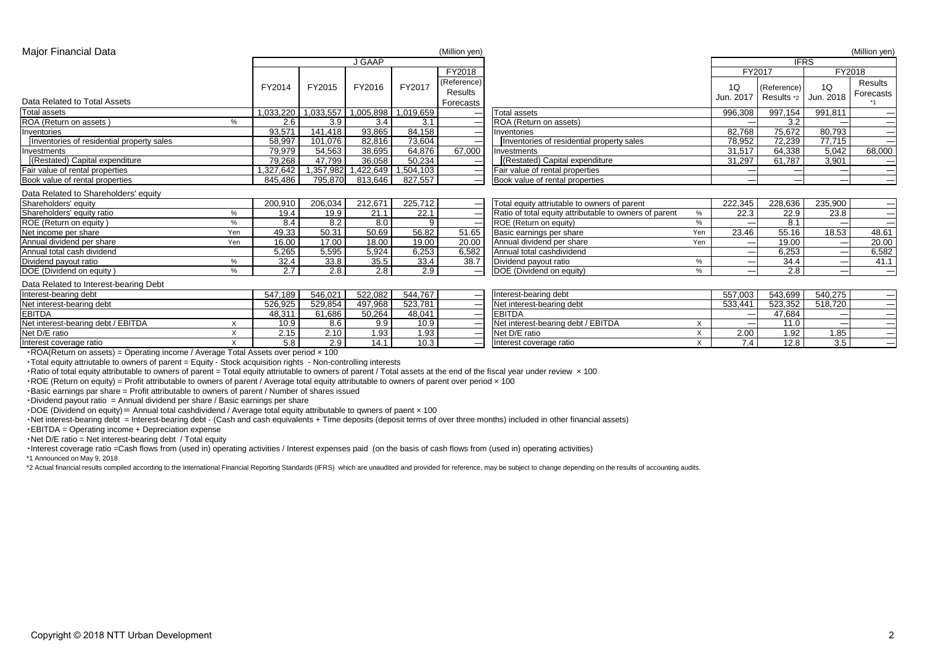### Major Financial Data (Million yen) (Million yen)

|                                           |      |               |               | <b>J GAAP</b> |               |               |                                                        |      |                 | <b>IFRS</b> |                                                                                                                                                                                                                                                                                                                                                                                                                                                                            |                                 |
|-------------------------------------------|------|---------------|---------------|---------------|---------------|---------------|--------------------------------------------------------|------|-----------------|-------------|----------------------------------------------------------------------------------------------------------------------------------------------------------------------------------------------------------------------------------------------------------------------------------------------------------------------------------------------------------------------------------------------------------------------------------------------------------------------------|---------------------------------|
|                                           |      |               |               |               |               | <b>FY2018</b> |                                                        |      | <b>FY2017</b>   |             |                                                                                                                                                                                                                                                                                                                                                                                                                                                                            | <b>FY2018</b>                   |
|                                           |      | <b>FY2014</b> | <b>FY2015</b> | <b>FY2016</b> | <b>FY2017</b> | (Reference)   |                                                        |      | 1Q              | (Reference) | 1Q                                                                                                                                                                                                                                                                                                                                                                                                                                                                         | <b>Results</b>                  |
|                                           |      |               |               |               |               | Results       |                                                        |      | Jun. 201        | Results *2  | Jun. 2018                                                                                                                                                                                                                                                                                                                                                                                                                                                                  | <b>Forecasts</b>                |
| Data Related to Total Assets              |      |               |               |               |               | Forecasts     |                                                        |      |                 |             |                                                                                                                                                                                                                                                                                                                                                                                                                                                                            |                                 |
| <b>Total assets</b>                       |      | 1,033,220     | ,033,557      | 1,005,898     | 1,019,659     |               | Total assets                                           |      | 996,308         | 997,154     | 991,811                                                                                                                                                                                                                                                                                                                                                                                                                                                                    | $\qquad \qquad$                 |
| <b>ROA (Return on assets)</b>             | %    | 2.6           | 3.9           | 3.4           | 3.1           |               | ROA (Return on assets)                                 |      |                 | 3.2         |                                                                                                                                                                                                                                                                                                                                                                                                                                                                            | $\overline{\phantom{0}}$        |
| Inventories                               |      | 93,571        | 141,418       | 93,865        | 84,158        |               | Inventories                                            |      | 82,768          | 75,672      | 80,793                                                                                                                                                                                                                                                                                                                                                                                                                                                                     | $\qquad \qquad$                 |
| Inventories of residential property sales |      | 58,997        | 101,076       | 82,816        | 73,604        |               | Inventories of residential property sales              |      | 78,952          | 72,239      | 77,715                                                                                                                                                                                                                                                                                                                                                                                                                                                                     | $\hspace{0.1mm}-\hspace{0.1mm}$ |
| Investments                               |      | 79,979        | 54,563        | 38,695        | 64,876        | 67,000        | <b>Investments</b>                                     |      | 31,517          | 64,338      | 5,042                                                                                                                                                                                                                                                                                                                                                                                                                                                                      | 68,000                          |
| (Restated) Capital expenditure            |      | 79,268        | 47,799        | 36,058        | 50,234        |               | (Restated) Capital expenditure                         |      | 31,297          | 61,787      | 3,901                                                                                                                                                                                                                                                                                                                                                                                                                                                                      | $\qquad \qquad -$               |
| Fair value of rental properties           |      | ,327,642      | ,357,982      | ,422,649      | 1,504,103     |               | <b>Fair value of rental properties</b>                 |      |                 |             |                                                                                                                                                                                                                                                                                                                                                                                                                                                                            | $\qquad \qquad -$               |
| Book value of rental properties           |      | 845,486       | 795,870       | 813,646       | 827,557       |               | Book value of rental properties                        |      | $\sim$          |             |                                                                                                                                                                                                                                                                                                                                                                                                                                                                            |                                 |
| Data Related to Shareholders' equity      |      |               |               |               |               |               |                                                        |      |                 |             |                                                                                                                                                                                                                                                                                                                                                                                                                                                                            |                                 |
| Shareholders' equity                      |      | 200,910       | 206,034       | 212,671       | 225,712       |               | Total equity attriutable to owners of parent           |      | 222,345         | 228,636     | 235,900                                                                                                                                                                                                                                                                                                                                                                                                                                                                    | $\qquad \qquad$                 |
| Shareholders' equity ratio                | $\%$ | 19.4          | 19.9          | 21.1          | 22.1          |               | Ratio of total equity attributable to owners of parent | $\%$ | 22.3            | 22.9        | 23.8                                                                                                                                                                                                                                                                                                                                                                                                                                                                       | $\hspace{0.05cm}$               |
| <b>ROE (Return on equity)</b>             | $\%$ | 8.4           | 8.2           | 8.0           | 9             |               | <b>ROE</b> (Return on equity)                          | $\%$ | $\qquad \qquad$ | 8.1         | $\sim$                                                                                                                                                                                                                                                                                                                                                                                                                                                                     | $\qquad \qquad =$               |
| Net income per share                      | Yen  | 49.33         | 50.31         | 50.69         | 56.82         | 51.65         | Basic earnings per share                               | Yen  | 23.46           | 55.16       | 18.53                                                                                                                                                                                                                                                                                                                                                                                                                                                                      | 48.61                           |
| Annual dividend per share                 | Yen  | 16.00         | 17.00         | 18.00         | 19.00         | 20.00         | Annual dividend per share                              | Yen  |                 | 19.00       |                                                                                                                                                                                                                                                                                                                                                                                                                                                                            | 20.00                           |
| Annual total cash dividend                |      | 5,265         | 5,595         | 5,924         | 6,253         | 6,582         | Annual total cashdividend                              |      |                 | 6,253       |                                                                                                                                                                                                                                                                                                                                                                                                                                                                            | 6,582                           |
| Dividend payout ratio                     | $\%$ | 32.4          | 33.8          | 35.5          | 33.4          | 38.7          | Dividend payout ratio                                  | $\%$ |                 | 34.4        |                                                                                                                                                                                                                                                                                                                                                                                                                                                                            | 41.1                            |
| DOE (Dividend on equity)                  | $\%$ | 2.7           | 2.8           | 2.8           | 2.9           |               | <b>DOE</b> (Dividend on equity)                        | $\%$ | $\qquad \qquad$ | 2.8         |                                                                                                                                                                                                                                                                                                                                                                                                                                                                            | $\sim$                          |
| Data Related to Interest-bearing Debt     |      |               |               |               |               |               |                                                        |      |                 |             |                                                                                                                                                                                                                                                                                                                                                                                                                                                                            |                                 |
| Interest-bearing debt                     |      | 547,189       | 546,021       | 522,082       | 544,767       |               | Interest-bearing debt                                  |      | 557,003         | 543,699     | 540,275                                                                                                                                                                                                                                                                                                                                                                                                                                                                    | $\qquad \qquad -$               |
| Net interest-bearing debt                 |      | 526,925       | 529,854       | 497,968       | 523,781       |               | Net interest-bearing debt                              |      | 533,441         | 523,352     | 518,720                                                                                                                                                                                                                                                                                                                                                                                                                                                                    | $\hspace{0.1mm}-\hspace{0.1mm}$ |
| <b>EBITDA</b>                             |      | 48,311        | 61,686        | 50,264        | 48,041        |               | <b>EBITDA</b>                                          |      |                 | 47,684      |                                                                                                                                                                                                                                                                                                                                                                                                                                                                            | $\hspace{0.1cm}-\hspace{0.1cm}$ |
| Net interest-bearing debt / EBITDA        |      | 10.9          | 8.6           | 9.9           | 10.9          |               | Net interest-bearing debt / EBITDA                     |      | $\qquad \qquad$ | 11.0        | $\frac{1}{2} \left( \frac{1}{2} \right) \left( \frac{1}{2} \right) \left( \frac{1}{2} \right) \left( \frac{1}{2} \right) \left( \frac{1}{2} \right) \left( \frac{1}{2} \right) \left( \frac{1}{2} \right) \left( \frac{1}{2} \right) \left( \frac{1}{2} \right) \left( \frac{1}{2} \right) \left( \frac{1}{2} \right) \left( \frac{1}{2} \right) \left( \frac{1}{2} \right) \left( \frac{1}{2} \right) \left( \frac{1}{2} \right) \left( \frac{1}{2} \right) \left( \frac$ | $\qquad \qquad =$               |
| Net D/E ratio                             |      | 2.15          | 2.10          | 1.93          | 1.93          |               | Net D/E ratio                                          |      | 2.00            | 1.92        | 1.85                                                                                                                                                                                                                                                                                                                                                                                                                                                                       | $\overline{\phantom{0}}$        |
| Interest coverage ratio                   |      | 5.8           | 2.9           | 14.1          | 10.3          |               | Interest coverage ratio                                | X    | 7.4             | 12.8        | 3.5                                                                                                                                                                                                                                                                                                                                                                                                                                                                        | $\qquad \qquad$                 |

・ROA(Return on assets) = Operating income / Average Total Assets over period × 100

・Total equity attriutable to owners of parent = Equity - Stock acquisition rights - Non-controlling interests

• Ratio of total equity attributable to owners of parent = Total equity attriutable to owners of parent / Total assets at the end of the fiscal year under review x 100  $\cdot$  ROE (Return on equity) = Profit attributable to owners of parent / Average total equity attributable to owners of parent over period  $\times$  100

・Basic earnings par share = Profit attributable to owners of parent / Number of shares issued

・Dividend payout ratio = Annual dividend per share / Basic earnings per share

 $\cdot$  DOE (Dividend on equity) = Annual total cashdividend / Average total equity attributable to qwners of paent  $\times$  100

•Net interest-bearing debt = Interest-bearing debt - (Cash and cash equivalents + Time deposits (deposit terms of over three months) included in other financial assets)

・EBITDA = Operating income + Depreciation expense

・Net D/E ratio = Net interest-bearing debt / Total equity

・Interest coverage ratio =Cash flows from (used in) operating activities / Interest expenses paid (on the basis of cash flows from (used in) operating activities) \*1 Announced on May 9, 2018

\*2 Actual financial results compiled according to the International Financial Reporting Standards (IFRS) which are unaudited and provided for reference, may be subject to change depending on the results of accounting audits.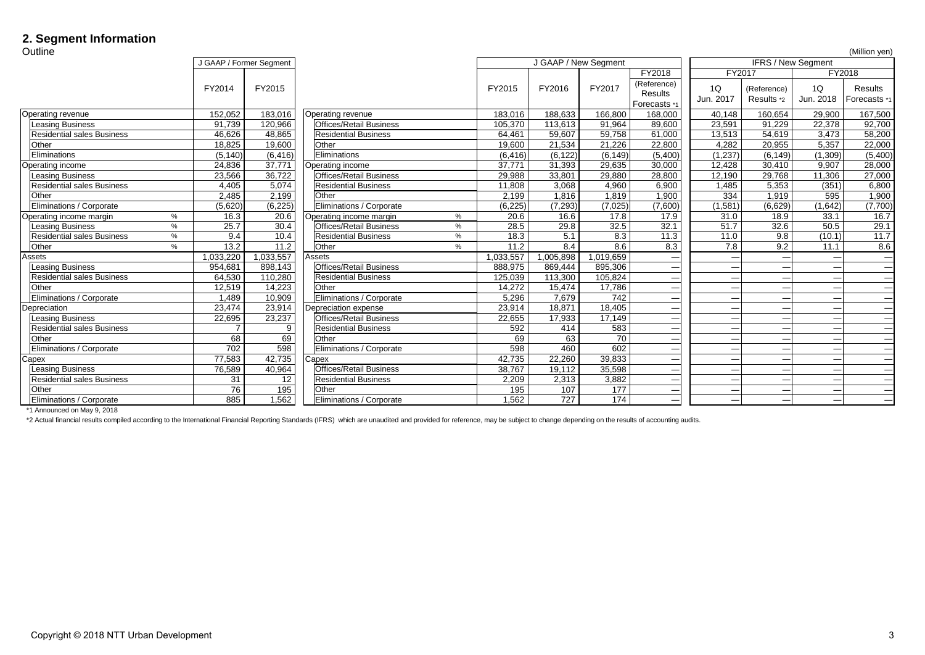## **2. Segment Information**

| Outline                                   |               |                                                 |                                        |               |               |               |                                                      |                 |                           |                                                                                                                                                                                                                                                                                                                                                                                                                                                                            | (Million yen)                         |
|-------------------------------------------|---------------|-------------------------------------------------|----------------------------------------|---------------|---------------|---------------|------------------------------------------------------|-----------------|---------------------------|----------------------------------------------------------------------------------------------------------------------------------------------------------------------------------------------------------------------------------------------------------------------------------------------------------------------------------------------------------------------------------------------------------------------------------------------------------------------------|---------------------------------------|
|                                           |               | J GAAP / Former Segment<br>J GAAP / New Segment |                                        |               |               |               |                                                      |                 | <b>IFRS / New Segment</b> |                                                                                                                                                                                                                                                                                                                                                                                                                                                                            |                                       |
|                                           |               |                                                 |                                        |               |               |               | <b>FY2018</b>                                        | <b>FY2017</b>   |                           |                                                                                                                                                                                                                                                                                                                                                                                                                                                                            | <b>FY2018</b>                         |
|                                           | <b>FY2014</b> | <b>FY2015</b>                                   |                                        | <b>FY2015</b> | <b>FY2016</b> | <b>FY2017</b> | (Reference)<br><b>Results</b><br><b>Forecasts</b> *1 | 1Q<br>Jun. 2017 | (Reference)<br>Results *2 | 1Q<br>Jun. 2018                                                                                                                                                                                                                                                                                                                                                                                                                                                            | <b>Results</b><br><b>Forecasts</b> *1 |
| <b>Operating revenue</b>                  | 152,052       | 183,016                                         | <b>Operating revenue</b>               | 183,016       | 188,633       | 166,800       | 168,000                                              | 40,148          | 160,654                   | 29,900                                                                                                                                                                                                                                                                                                                                                                                                                                                                     | 167,500                               |
| <b>Leasing Business</b>                   | 91,739        | 120,966                                         | <b>Offices/Retail Business</b>         | 105,370       | 113,613       | 91,964        | 89,600                                               | 23,591          | 91,229                    | 22,378                                                                                                                                                                                                                                                                                                                                                                                                                                                                     | 92,700                                |
| <b>Residential sales Business</b>         | 46,626        | 48,865                                          | <b>Residential Business</b>            | 64,461        | 59,607        | 59,758        | 61,000                                               | 13,513          | 54,619                    | 3,473                                                                                                                                                                                                                                                                                                                                                                                                                                                                      | 58,200                                |
| <b>Other</b>                              | 18,825        | 19,600                                          | Other                                  | 19,600        | 21,534        | 21,226        | 22,800                                               | 4,282           | 20,955                    | 5,357                                                                                                                                                                                                                                                                                                                                                                                                                                                                      | 22,000                                |
| Eliminations                              | (5, 140)      | (6, 416)                                        | Eliminations                           | (6, 416)      | (6, 122)      | (6, 149)      | (5,400)                                              | (1,237)         | (6, 149)                  | (1,309)                                                                                                                                                                                                                                                                                                                                                                                                                                                                    | (5,400)                               |
| Operating income                          | 24,836        | 37,771                                          | <b>Operating income</b>                | 37,771        | 31,393        | 29,635        | 30,000                                               | 12,428          | 30,410                    | 9,907                                                                                                                                                                                                                                                                                                                                                                                                                                                                      | 28,000                                |
| <b>Leasing Business</b>                   | 23,566        | 36,722                                          | <b>Offices/Retail Business</b>         | 29,988        | 33,801        | 29,880        | 28,800                                               | 12,190          | 29,768                    | 11,306                                                                                                                                                                                                                                                                                                                                                                                                                                                                     | 27,000                                |
| <b>Residential sales Business</b>         | 4,405         | 5,074                                           | <b>Residential Business</b>            | 11,808        | 3,068         | 4,960         | 6,900                                                | 1,485           | 5,353                     | (351)                                                                                                                                                                                                                                                                                                                                                                                                                                                                      | 6,800                                 |
| <b>Other</b>                              | 2,485         | 2,199                                           | <b>Other</b>                           | 2,199         | 1,816         | 1,819         | ,900                                                 | 334             | 1,919                     | 595                                                                                                                                                                                                                                                                                                                                                                                                                                                                        | 1,900                                 |
| <b>Eliminations / Corporate</b>           | (5,620)       | (6, 225)                                        | <b>Eliminations / Corporate</b>        | (6,225)       | (7, 293)      | (7,025)       | (7,600)                                              | (1,581)         | (6,629)                   | (1,642)                                                                                                                                                                                                                                                                                                                                                                                                                                                                    | (7,700)                               |
| Operating income margin<br>%              | 16.3          | 20.6                                            | $\%$<br>Operating income margin        | 20.6          | 16.6          | 17.8          | 17.9                                                 | 31.0            | 18.9                      | 33.1                                                                                                                                                                                                                                                                                                                                                                                                                                                                       | 16.7                                  |
| <b>Leasing Business</b><br>$\%$           | 25.7          | 30.4                                            | <b>Offices/Retail Business</b><br>$\%$ | 28.5          | 29.8          | 32.5          | 32.1                                                 | 51.7            | 32.6                      | 50.5                                                                                                                                                                                                                                                                                                                                                                                                                                                                       | 29.1                                  |
| <b>Residential sales Business</b><br>$\%$ | 9.4           | 10.4                                            | <b>Residential Business</b><br>%       | 18.3          | 5.1           | 8.3           | 11.3                                                 | 11.0            | 9.8                       | (10.1)                                                                                                                                                                                                                                                                                                                                                                                                                                                                     | 11.7                                  |
| <b>Other</b><br>$\%$                      | 13.2          | 11.2                                            | <b>Other</b><br>%                      | 11.2          | 8.4           | 8.6           | 8.3                                                  | 7.8             | 9.2                       | 11.1                                                                                                                                                                                                                                                                                                                                                                                                                                                                       | 8.6                                   |
| Assets                                    | 1,033,220     | 1,033,557                                       | Assets                                 | 1,033,557     | 1,005,898     | 1,019,659     | __                                                   |                 |                           |                                                                                                                                                                                                                                                                                                                                                                                                                                                                            | $\qquad \qquad$                       |
| Leasing Business                          | 954,681       | 898,143                                         | <b>Offices/Retail Business</b>         | 888,975       | 869,444       | 895,306       | __                                                   |                 | __                        | $\overline{\phantom{a}}$                                                                                                                                                                                                                                                                                                                                                                                                                                                   |                                       |
| <b>Residential sales Business</b>         | 64,530        | 110,280                                         | <b>Residential Business</b>            | 125,039       | 113,300       | 105,824       | __                                                   |                 |                           | $\frac{1}{2} \left( \frac{1}{2} \right) \left( \frac{1}{2} \right) \left( \frac{1}{2} \right) \left( \frac{1}{2} \right) \left( \frac{1}{2} \right) \left( \frac{1}{2} \right) \left( \frac{1}{2} \right) \left( \frac{1}{2} \right) \left( \frac{1}{2} \right) \left( \frac{1}{2} \right) \left( \frac{1}{2} \right) \left( \frac{1}{2} \right) \left( \frac{1}{2} \right) \left( \frac{1}{2} \right) \left( \frac{1}{2} \right) \left( \frac{1}{2} \right) \left( \frac$ |                                       |
| Other                                     | 12,519        | 14,223                                          | <b>Other</b>                           | 14,272        | 15,474        | 17,786        | ___                                                  |                 | --                        | $\frac{1}{2} \left( \frac{1}{2} \right) \left( \frac{1}{2} \right) \left( \frac{1}{2} \right) \left( \frac{1}{2} \right) \left( \frac{1}{2} \right) \left( \frac{1}{2} \right) \left( \frac{1}{2} \right) \left( \frac{1}{2} \right) \left( \frac{1}{2} \right) \left( \frac{1}{2} \right) \left( \frac{1}{2} \right) \left( \frac{1}{2} \right) \left( \frac{1}{2} \right) \left( \frac{1}{2} \right) \left( \frac{1}{2} \right) \left( \frac{1}{2} \right) \left( \frac$ | $\qquad \qquad$                       |
| Eliminations / Corporate                  | 489, ا        | 10,909                                          | <b>Eliminations / Corporate</b>        | 5,296         | 7,679         | 742           | __                                                   |                 |                           | $\overline{\phantom{a}}$                                                                                                                                                                                                                                                                                                                                                                                                                                                   | $\qquad \qquad$                       |
| Depreciation                              | 23,474        | 23,914                                          | Depreciation expense                   | 23,914        | 18,871        | 18,405        | $\sim$                                               |                 |                           | $\overline{\phantom{a}}$                                                                                                                                                                                                                                                                                                                                                                                                                                                   | $\qquad \qquad$                       |
| Leasing Business                          | 22,695        | 23,237                                          | <b>Offices/Retail Business</b>         | 22,655        | 17,933        | 17,149        | __                                                   |                 | --                        | $\overline{\phantom{a}}$                                                                                                                                                                                                                                                                                                                                                                                                                                                   | $\qquad \qquad$                       |
| <b>Residential sales Business</b>         |               |                                                 | <b>Residential Business</b>            | 592           | 414           | 583           | __                                                   |                 | --                        | $\overline{\phantom{a}}$                                                                                                                                                                                                                                                                                                                                                                                                                                                   | $\sim$                                |
| <b>Other</b>                              | 68            | 69                                              | <b>Other</b>                           | 69            | 63            | 70            | __                                                   |                 |                           |                                                                                                                                                                                                                                                                                                                                                                                                                                                                            | $\qquad \qquad$                       |
| <b>Eliminations / Corporate</b>           | 702           | 598                                             | <b>Eliminations / Corporate</b>        | 598           | 460           | 602           | ___                                                  |                 | __                        | $\frac{1}{2}$                                                                                                                                                                                                                                                                                                                                                                                                                                                              | $\qquad \qquad$                       |
| Capex                                     | 77,583        | 42,735                                          | <b>Capex</b>                           | 42,735        | 22,260        | 39,833        | __                                                   |                 |                           | $\overline{\phantom{a}}$                                                                                                                                                                                                                                                                                                                                                                                                                                                   | $\qquad \qquad$                       |
| <b>Leasing Business</b>                   | 76,589        | 40,964                                          | <b>Offices/Retail Business</b>         | 38,767        | 19,112        | 35,598        | ___                                                  |                 | --                        | $\sim$                                                                                                                                                                                                                                                                                                                                                                                                                                                                     | $\qquad \qquad$                       |
| <b>Residential sales Business</b>         | 31            | $12 \overline{ }$                               | <b>Residential Business</b>            | 2,209         | 2,313         | 3,882         | ___                                                  |                 | __                        | $\frac{1}{2} \left( \frac{1}{2} \right) \left( \frac{1}{2} \right) \left( \frac{1}{2} \right) \left( \frac{1}{2} \right) \left( \frac{1}{2} \right) \left( \frac{1}{2} \right) \left( \frac{1}{2} \right) \left( \frac{1}{2} \right) \left( \frac{1}{2} \right) \left( \frac{1}{2} \right) \left( \frac{1}{2} \right) \left( \frac{1}{2} \right) \left( \frac{1}{2} \right) \left( \frac{1}{2} \right) \left( \frac{1}{2} \right) \left( \frac{1}{2} \right) \left( \frac$ | $\qquad \qquad$                       |
| <b>Other</b>                              | 76            | 195                                             | <b>Other</b>                           | 195           | 107           | 177           | ___                                                  |                 | __                        | <b>Contract Contract</b>                                                                                                                                                                                                                                                                                                                                                                                                                                                   | $\qquad \qquad$                       |
| <b>Eliminations / Corporate</b>           | 885           | 1,562                                           | <b>Eliminations / Corporate</b>        | 1,562         | 727           | 174           | ——                                                   |                 | __                        |                                                                                                                                                                                                                                                                                                                                                                                                                                                                            |                                       |

\*1 Announced on May 9, 2018

\*2 Actual financial results compiled according to the International Financial Reporting Standards (IFRS) which are unaudited and provided for reference, may be subject to change depending on the results of accounting audits.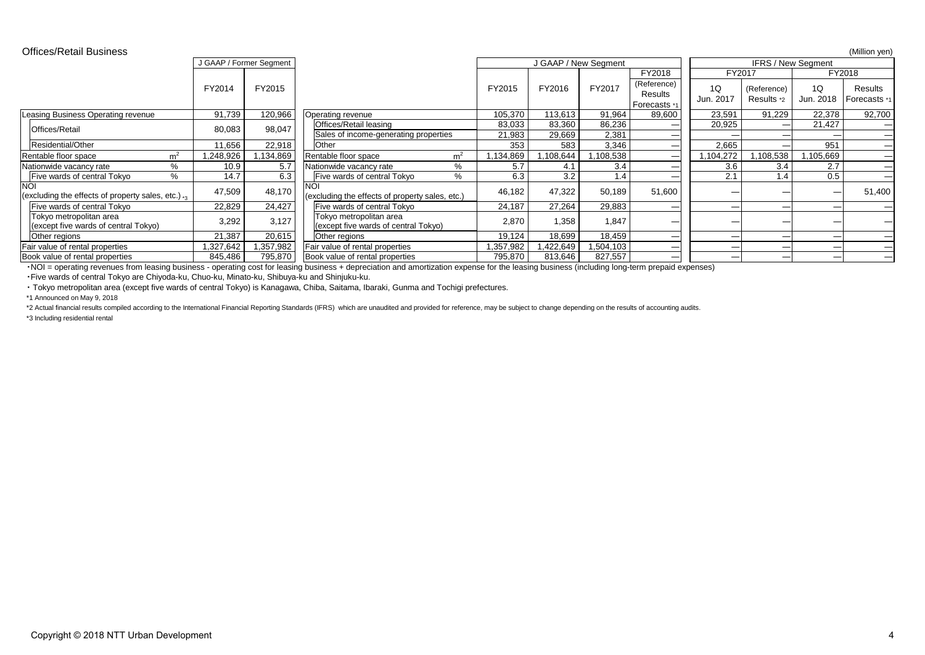\*2 Actual financial results compiled according to the International Financial Reporting Standards (IFRS) which are unaudited and provided for reference, may be subject to change depending on the results of accounting audit \*3 Including residential rental

| <b>Offices/Retail Business</b>                                       |                         |           |                                                                 |               |               |                      |                               |                 |                           |                           | (Million yen)                   |
|----------------------------------------------------------------------|-------------------------|-----------|-----------------------------------------------------------------|---------------|---------------|----------------------|-------------------------------|-----------------|---------------------------|---------------------------|---------------------------------|
|                                                                      | J GAAP / Former Segment |           |                                                                 |               |               | J GAAP / New Segment |                               |                 |                           | <b>IFRS / New Segment</b> |                                 |
|                                                                      |                         |           |                                                                 |               |               |                      | <b>FY2018</b>                 |                 | <b>FY2017</b>             |                           | <b>FY2018</b>                   |
|                                                                      | <b>FY2014</b>           | FY2015    |                                                                 | <b>FY2015</b> | <b>FY2016</b> | <b>FY2017</b>        | (Reference)<br><b>Results</b> | 1Q<br>Jun. 2017 | (Reference)<br>Results *2 | 1Q<br>Jun. 2018           | Results<br>Forecasts *1         |
|                                                                      |                         |           |                                                                 |               |               |                      | , Forecasts ∗                 |                 |                           |                           |                                 |
| <b>Leasing Business Operating revenue</b>                            | 91,739                  | 120,966   | <b>Operating revenue</b>                                        | 105,370       | 113,613       | 91,964               | 89,600                        | 23,591          | 91,229                    | 22,378                    | 92,700                          |
| <b>Offices/Retail</b>                                                | 80,083                  | 98,047    | <b>Offices/Retail leasing</b>                                   | 83,033        | 83,360        | 86,236               |                               | 20,925          |                           | 21,427                    |                                 |
|                                                                      |                         |           | Sales of income-generating properties                           | 21,983        | 29,669        | 2,381                |                               |                 |                           |                           | $\qquad \qquad$                 |
| Residential/Other                                                    | 11,656                  | 22,918    | <b>Other</b>                                                    | 353           | 583           | 3,346                |                               | 2,665           |                           | 951                       | $\hspace{0.1mm}-\hspace{0.1mm}$ |
| m <sup>2</sup><br>Rentable floor space                               | ,248,926                | 1,134,869 | m <sup>2</sup><br>Rentable floor space                          | ,134,869      | ,108,644      | ,108,538             |                               | ,104,272        | ,108,538                  | 1,105,669                 | $\qquad \qquad$                 |
| $\%$<br>Nationwide vacancy rate                                      | 10.9                    | 5.7       | $\%$<br>Nationwide vacancy rate                                 | 5.7           | 4.1           | 3.4                  |                               | 3.6             | 3.4                       | 2.7                       |                                 |
| $\%$<br><b>Five wards of central Tokyo</b>                           | 14.7                    | 6.3       | Five wards of central Tokyo<br>$\frac{0}{0}$                    | 6.3           | 3.2           | 1.4                  |                               | 2.1             | 1.4                       | 0.5                       |                                 |
| <b>NOI</b><br>(excluding the effects of property sales, etc.) $_{3}$ | 47,509                  | 48,170    | <b>NOI</b><br>(excluding the effects of property sales, etc.)   | 46,182        | 47,322        | 50,189               | 51,600                        |                 |                           |                           | 51,400                          |
| Five wards of central Tokyo                                          | 22,829                  | 24,427    | Five wards of central Tokyo                                     | 24,187        | 27,264        | 29,883               |                               |                 |                           |                           |                                 |
| Tokyo metropolitan area<br>(except five wards of central Tokyo)      | 3,292                   | 3,127     | Tokyo metropolitan area<br>(except five wards of central Tokyo) | 2,870         | 1,358         | 1,847                |                               |                 |                           |                           |                                 |
| <b>Other regions</b>                                                 | 21,387                  | 20,615    | Other regions                                                   | 19,124        | 18,699        | 18,459               | $\qquad \qquad$               |                 |                           | $\qquad \qquad$           |                                 |
| Fair value of rental properties                                      | 327,642                 | ,357,982  | <b>Fair value of rental properties</b>                          | ,357,982      | ,422,649      | 1,504,103            |                               |                 |                           |                           |                                 |
| Book value of rental properties                                      | 845,486                 | 795,870   | Book value of rental properties                                 | 795,870       | 813,646       | 827,557              |                               |                 |                           |                           |                                 |

・NOI = operating revenues from leasing business - operating cost for leasing business + depreciation and amortization expense for the leasing business (including long-term prepaid expenses) ・Five wards of central Tokyo are Chiyoda-ku, Chuo-ku, Minato-ku, Shibuya-ku and Shinjuku-ku.

・ Tokyo metropolitan area (except five wards of central Tokyo) is Kanagawa, Chiba, Saitama, Ibaraki, Gunma and Tochigi prefectures. \*1 Announced on May 9, 2018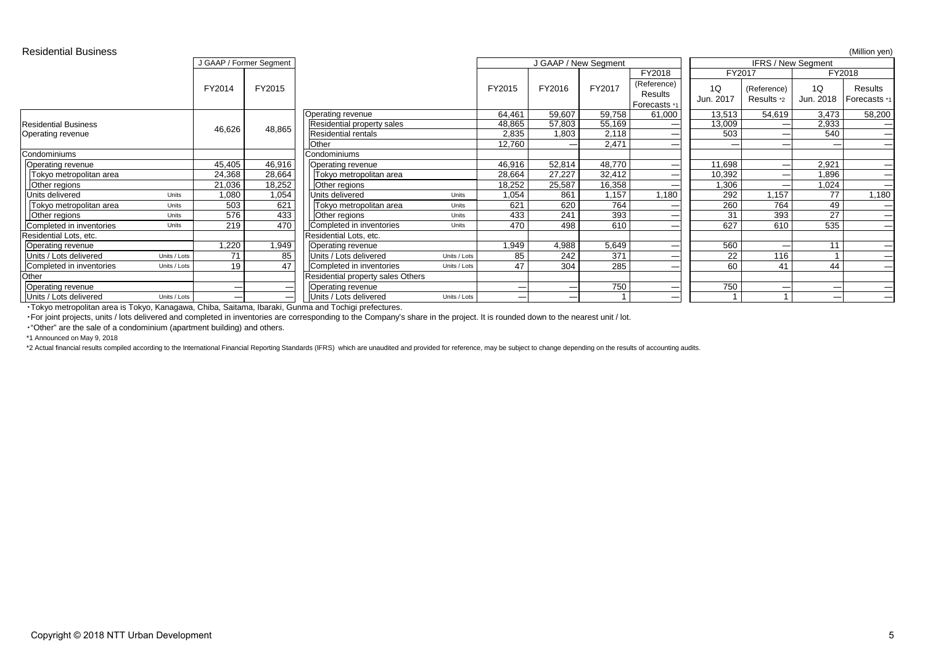| <b>Residential Business</b> |              |               |                         |                                          |              |               |               |                      |                                               |                 |                           |                                               | (Million yen)                             |
|-----------------------------|--------------|---------------|-------------------------|------------------------------------------|--------------|---------------|---------------|----------------------|-----------------------------------------------|-----------------|---------------------------|-----------------------------------------------|-------------------------------------------|
|                             |              |               | J GAAP / Former Segment |                                          |              |               |               | J GAAP / New Segment |                                               |                 |                           | <b>IFRS / New Segment</b>                     |                                           |
|                             |              |               |                         |                                          |              |               |               |                      | <b>FY2018</b>                                 | <b>FY2017</b>   |                           |                                               | <b>FY2018</b>                             |
|                             |              | <b>FY2014</b> | <b>FY2015</b>           |                                          |              | <b>FY2015</b> | <b>FY2016</b> | <b>FY2017</b>        | (Reference)<br><b>Results</b>                 | 1Q<br>Jun. 2017 | (Reference)<br>Results *2 | 1Q<br>Jun. 2018                               | <b>Results</b><br>Forecasts *1            |
|                             |              |               |                         |                                          |              |               |               |                      | Forecasts *1                                  |                 |                           |                                               |                                           |
|                             |              |               |                         | <b>Operating revenue</b>                 |              | 64,461        | 59,607        | 59,758               | 61,000                                        | 13,513          | 54,619                    | 3,473                                         | 58,200                                    |
| <b>Residential Business</b> |              | 46,626        | 48,865                  | Residential property sales               |              | 48,865        | 57,803        | 55,169               |                                               | 13,009          |                           | 2,933                                         |                                           |
| <b>Operating revenue</b>    |              |               |                         | <b>Residential rentals</b>               |              | 2,835         | 1,803         | 2,118                | __                                            | 503             |                           | 540                                           | $\qquad \qquad$                           |
|                             |              |               |                         | Other                                    |              | 12,760        |               | 2,471                | $\qquad \qquad \overbrace{\qquad \qquad }^{}$ |                 |                           |                                               | $\qquad \qquad$                           |
| Condominiums                |              |               |                         | Condominiums                             |              |               |               |                      |                                               |                 |                           |                                               |                                           |
| Operating revenue           |              | 45,405        | 46,916                  | <b>Operating revenue</b>                 |              | 46,916        | 52,814        | 48,770               | __                                            | 11,698          |                           | 2,921                                         | $\qquad \qquad$                           |
| Tokyo metropolitan area     |              | 24,368        | 28,664                  | Tokyo metropolitan area                  |              | 28,664        | 27,227        | 32,412               | __                                            | 10,392          |                           | 1,896                                         | $\longrightarrow$                         |
| <b>Other regions</b>        |              | 21,036        | 18,252                  | Other regions                            |              | 18,252        | 25,587        | 16,358               | $\sim$                                        | 1,306           |                           | 1,024                                         |                                           |
| Units delivered             | <b>Units</b> | 1,080         | 1,054                   | Units delivered                          | <b>Units</b> | 1,054         | 861           | 1,157                | 1,180                                         | 292             | 1,157                     | 77                                            | 1,180                                     |
| Tokyo metropolitan area     | Units        | 503           | 621                     | Tokyo metropolitan area                  | <b>Units</b> | 621           | 620           | 764                  |                                               | 260             | 764                       | 49                                            | $\overline{\phantom{0}}$                  |
| <b>Other regions</b>        | Units        | 576           | 433                     | Other regions                            | <b>Units</b> | 433           | 241           | 393                  | __                                            | 31              | 393                       | 27                                            | $\qquad \qquad$                           |
| Completed in inventories    | Units        | 219           | 470                     | Completed in inventories                 | <b>Units</b> | 470           | 498           | 610                  | $\overline{\phantom{a}}$                      | 627             | 610                       | 535                                           | $\qquad \qquad$                           |
| Residential Lots, etc.      |              |               |                         | Residential Lots, etc.                   |              |               |               |                      |                                               |                 |                           |                                               |                                           |
| Operating revenue           |              | 1,220         | 1,949                   | <b>Operating revenue</b>                 |              | 1,949         | 4,988         | 5,649                |                                               | 560             |                           | $\begin{array}{c} 1 & 1 \\ 1 & 1 \end{array}$ | $\qquad \qquad$                           |
| Units / Lots delivered      | Units / Lots | 71            | 85                      | Units / Lots delivered                   | Units / Lots | 85            | 242           | 371                  | ___                                           | 22              | 116                       |                                               | $\qquad \qquad$                           |
| Completed in inventories    | Units / Lots | 19            | 47                      | Completed in inventories                 | Units / Lots | 47            | 304           | 285                  |                                               | 60              | 41                        | 44                                            | $\qquad \qquad$                           |
| <b>Other</b>                |              |               |                         | <b>Residential property sales Others</b> |              |               |               |                      |                                               |                 |                           |                                               |                                           |
| <b>Operating revenue</b>    |              | --            |                         | <b>Operating revenue</b>                 |              |               |               | 750                  |                                               | 750             |                           |                                               | $\qquad \qquad \overline{\qquad \qquad }$ |
| Units / Lots delivered      | Units / Lots |               |                         | Units / Lots delivered                   | Units / Lots |               |               |                      |                                               |                 |                           | $\sim$                                        |                                           |
|                             |              |               |                         |                                          |              |               |               |                      |                                               |                 |                           |                                               |                                           |

・Tokyo metropolitan area is Tokyo, Kanagawa, Chiba, Saitama, Ibaraki, Gunma and Tochigi prefectures.

・For joint projects, units / lots delivered and completed in inventories are corresponding to the Company's share in the project. It is rounded down to the nearest unit / lot. ・"Other" are the sale of a condominium (apartment building) and others.

\*1 Announced on May 9, 2018

\*2 Actual financial results compiled according to the International Financial Reporting Standards (IFRS) which are unaudited and provided for reference, may be subject to change depending on the results of accounting audit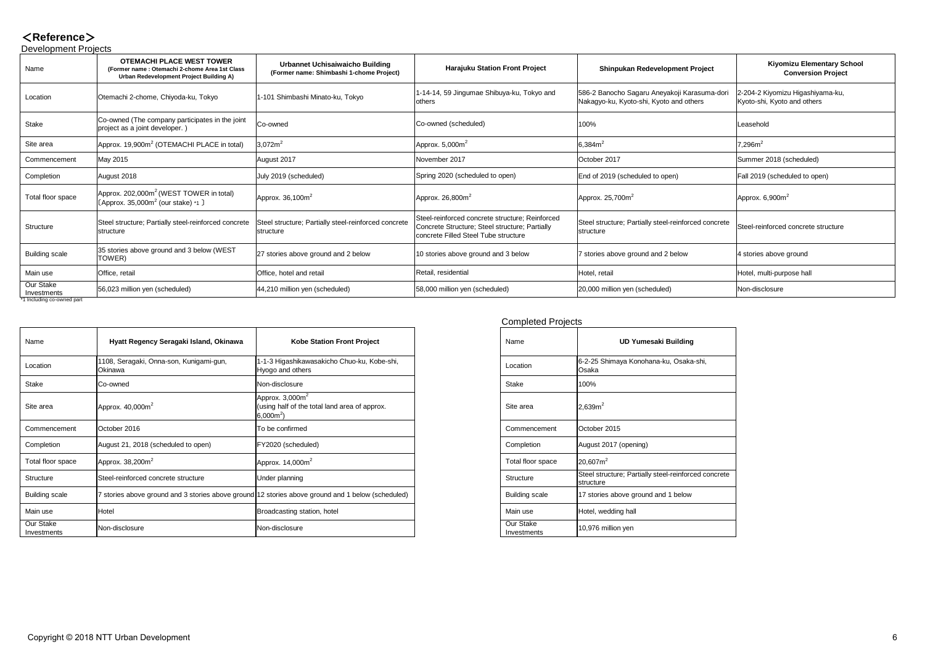### <**Reference**> Development Projects

| POVOIOPIIIOIII I OJOOIO         |                                                                                                                              |                                                                                                                         |                                                                                                                                           |                                                                                         |                                                                 |
|---------------------------------|------------------------------------------------------------------------------------------------------------------------------|-------------------------------------------------------------------------------------------------------------------------|-------------------------------------------------------------------------------------------------------------------------------------------|-----------------------------------------------------------------------------------------|-----------------------------------------------------------------|
| Name                            | <b>OTEMACHI PLACE WEST TOWER</b><br>(Former name: Otemachi 2-chome Area 1st Class<br>Urban Redevelopment Project Building A) | <b>Urbannet Uchisaiwaicho Building</b><br>(Former name: Shimbashi 1-chome Project)                                      | <b>Harajuku Station Front Project</b>                                                                                                     | <b>Shinpukan Redevelopment Project</b>                                                  | <b>Kiyomizu Elementary School</b><br><b>Conversion Project</b>  |
| Location                        | Otemachi 2-chome, Chiyoda-ku, Tokyo                                                                                          | 1-101 Shimbashi Minato-ku, Tokyo                                                                                        | 1-14-14, 59 Jingumae Shibuya-ku, Tokyo and<br>others                                                                                      | 586-2 Banocho Sagaru Aneyakoji Karasuma-dori<br>Nakagyo-ku, Kyoto-shi, Kyoto and others | 2-204-2 Kiyomizu Higashiyama-ku,<br>Kyoto-shi, Kyoto and others |
| <b>Stake</b>                    | Co-owned (The company participates in the joint<br>project as a joint developer.)                                            | Co-owned                                                                                                                | Co-owned (scheduled)                                                                                                                      | 100%                                                                                    | Leasehold                                                       |
| Site area                       | $\alpha$ Approx. 19,900m <sup>2</sup> (OTEMACHI PLACE in total)                                                              | $3,072m^2$                                                                                                              | Approx. $5,000m^2$                                                                                                                        | $ 6,384m^2 $                                                                            | $7,296m^2$                                                      |
| Commencement                    | May 2015                                                                                                                     | August 2017                                                                                                             | November 2017                                                                                                                             | October 2017                                                                            | Summer 2018 (scheduled)                                         |
| Completion                      | August 2018                                                                                                                  | July 2019 (scheduled)                                                                                                   | Spring 2020 (scheduled to open)                                                                                                           | End of 2019 (scheduled to open)                                                         | Fall 2019 (scheduled to open)                                   |
| Total floor space               | $\vert$ Approx. 202,000m <sup>2</sup> (WEST TOWER in total)<br>[Approx. 35,000 $m2$ (our stake) *1 ]                         | Approx. $36,100m^2$                                                                                                     | Approx. 26,800 $m2$                                                                                                                       | Approx. $25,700m^2$                                                                     | Approx. 6,900 $m2$                                              |
| <b>Structure</b>                | structure                                                                                                                    | Steel structure; Partially steel-reinforced concrete  Steel structure; Partially steel-reinforced concrete<br>structure | Steel-reinforced concrete structure; Reinforced<br>Concrete Structure; Steel structure; Partially<br>concrete Filled Steel Tube structure | Steel structure; Partially steel-reinforced concrete<br>structure                       | Steel-reinforced concrete structure                             |
| <b>Building scale</b>           | 35 stories above ground and 3 below (WEST<br>TOWER)                                                                          | 27 stories above ground and 2 below                                                                                     | 10 stories above ground and 3 below                                                                                                       | 7 stories above ground and 2 below                                                      | 4 stories above ground                                          |
| Main use                        | Office, retail                                                                                                               | Office, hotel and retail                                                                                                | Retail, residential                                                                                                                       | Hotel, retail                                                                           | Hotel, multi-purpose hall                                       |
| <b>Our Stake</b><br>Investments | 56,023 million yen (scheduled)                                                                                               | $ 44,210$ million yen (scheduled)                                                                                       | 58,000 million yen (scheduled)                                                                                                            | 20,000 million yen (scheduled)                                                          | Non-disclosure                                                  |

\*1 Including co-owned part

| <b>Completed Projects</b> |  |  |  |  |
|---------------------------|--|--|--|--|
|---------------------------|--|--|--|--|

| Name                            | Hyatt Regency Seragaki Island, Okinawa                                                            | <b>Kobe Station Front Project</b>                                                   | Name                            | <b>UD Yumesaki Building</b>                                        |
|---------------------------------|---------------------------------------------------------------------------------------------------|-------------------------------------------------------------------------------------|---------------------------------|--------------------------------------------------------------------|
| Location                        | 1108, Seragaki, Onna-son, Kunigami-gun,<br>Okinawa                                                | 1-1-3 Higashikawasakicho Chuo-ku, Kobe-shi,<br>Hyogo and others                     | Location                        | 6-2-25 Shimaya Konohana-ku, Osaka-shi,<br>Osaka                    |
| <b>Stake</b>                    | Co-owned                                                                                          | Non-disclosure                                                                      | <b>Stake</b>                    | 100%                                                               |
| Site area                       | Approx. $40,000m^2$                                                                               | Approx. $3,000m^2$<br>(using half of the total land area of approx.<br>$(6,000m^2)$ | Site area                       | 2,639m <sup>2</sup>                                                |
| Commencement                    | October 2016                                                                                      | To be confirmed                                                                     | Commencement                    | October 2015                                                       |
| Completion                      | August 21, 2018 (scheduled to open)                                                               | FY2020 (scheduled)                                                                  | Completion                      | August 2017 (opening)                                              |
| Total floor space               | Approx. $38,200m^2$                                                                               | Approx. $14,000m^2$                                                                 | Total floor space               | $ 20,607m^2$                                                       |
| <b>Structure</b>                | Steel-reinforced concrete structure                                                               | Under planning                                                                      | Structure                       | Steel structure; Partially steel-reinforced concrete<br> structure |
| <b>Building scale</b>           | 7 stories above ground and 3 stories above ground 12 stories above ground and 1 below (scheduled) |                                                                                     | <b>Building scale</b>           | 17 stories above ground and 1 below                                |
| Main use                        | Hotel                                                                                             | Broadcasting station, hotel                                                         | Main use                        | Hotel, wedding hall                                                |
| <b>Our Stake</b><br>Investments | Non-disclosure                                                                                    | Non-disclosure                                                                      | <b>Our Stake</b><br>Investments | $10,976$ million yen                                               |

| <b>Kobe Station Front Project</b>                                                             | <b>Name</b>                     | <b>UD Yumesaki Building</b>                                 |
|-----------------------------------------------------------------------------------------------|---------------------------------|-------------------------------------------------------------|
| 1-1-3 Higashikawasakicho Chuo-ku, Kobe-shi,<br>Hyogo and others                               | Location                        | 6-2-25 Shimaya Konohana-ku, Osaka-shi,<br>Osaka             |
| Non-disclosure                                                                                | <b>Stake</b>                    | 100%                                                        |
| Approx. 3,000 $m^2$<br>(using half of the total land area of approx.<br>6,000m <sup>2</sup> ) | Site area                       | $ 2,639m^2$                                                 |
| To be confirmed                                                                               | Commencement                    | October 2015                                                |
| FY2020 (scheduled)                                                                            | Completion                      | August 2017 (opening)                                       |
| Approx. 14,000 $m^2$                                                                          | Total floor space               | 20,607 <sup>2</sup>                                         |
| <b>Under planning</b>                                                                         | <b>Structure</b>                | Steel structure; Partially steel-reinforced c<br> structure |
| 12 stories above ground and 1 below (scheduled)                                               | <b>Building scale</b>           | 17 stories above ground and 1 below                         |
| <b>Broadcasting station, hotel</b>                                                            | Main use                        | Hotel, wedding hall                                         |
| Non-disclosure                                                                                | <b>Our Stake</b><br>Investments | 10,976 million yen                                          |

| g            |
|--------------|
| a-shi,       |
|              |
|              |
|              |
|              |
|              |
| ced concrete |
| I            |
|              |
|              |